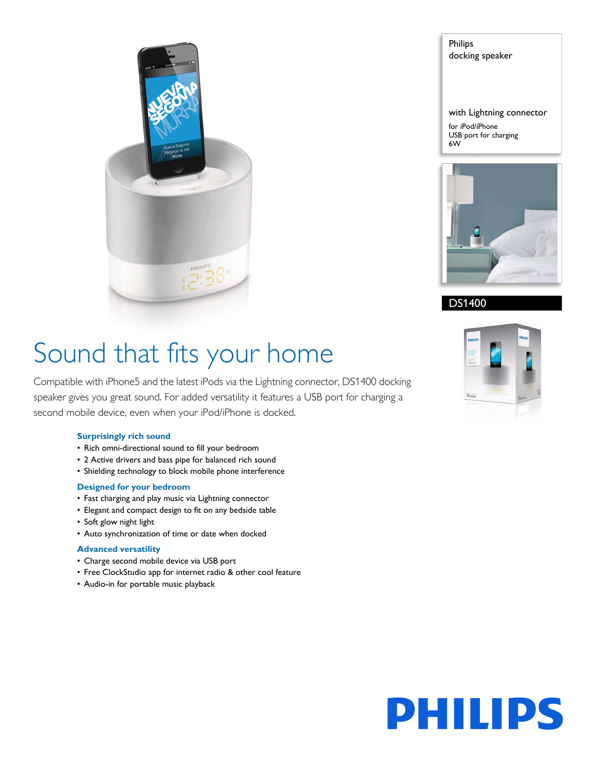

Philips docking speaker

with Lightning connector for iPod/iPhone USB port for charging 6W



DS1400

# Sound that fits your home

Compatible with iPhone5 and the latest iPods via the Lightning connector, DS1400 docking speaker gives you great sound. For added versatility it features a USB port for charging a second mobile device, even when your iPod/iPhone is docked.

### **Surprisingly rich sound**

- Rich omni-directional sound to fill your bedroom
- 2 Active drivers and bass pipe for balanced rich sound
- Shielding technology to block mobile phone interference

### **Designed for your bedroom**

- Fast charging and play music via Lightning connector
- Elegant and compact design to fit on any bedside table
- Soft glow night light
- Auto synchronization of time or date when docked

### **Advanced versatility**

- Charge second mobile device via USB port
- Free ClockStudio app for internet radio & other cool feature
- Audio-in for portable music playback



# **PHILIPS**